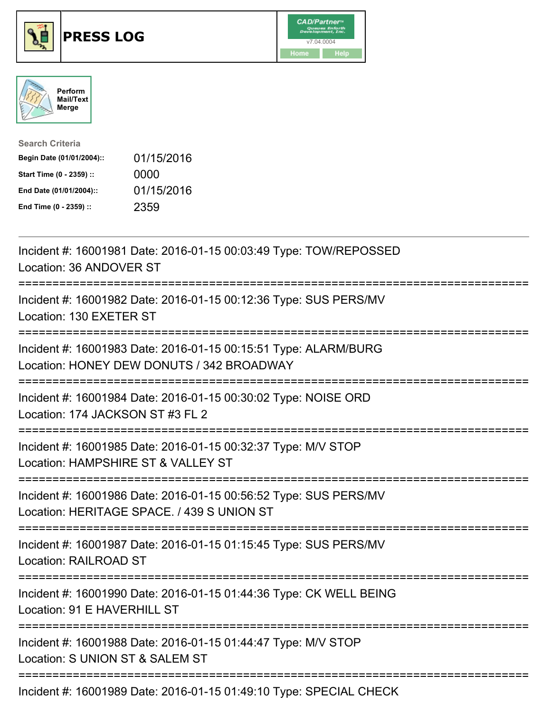





| <b>Search Criteria</b>    |            |
|---------------------------|------------|
| Begin Date (01/01/2004):: | 01/15/2016 |
| Start Time (0 - 2359) ::  | 0000       |
| End Date (01/01/2004)::   | 01/15/2016 |
| End Time (0 - 2359) ::    | 2359       |

| Incident #: 16001981 Date: 2016-01-15 00:03:49 Type: TOW/REPOSSED<br>Location: 36 ANDOVER ST                                      |
|-----------------------------------------------------------------------------------------------------------------------------------|
| Incident #: 16001982 Date: 2016-01-15 00:12:36 Type: SUS PERS/MV<br>Location: 130 EXETER ST<br>==============                     |
| Incident #: 16001983 Date: 2016-01-15 00:15:51 Type: ALARM/BURG<br>Location: HONEY DEW DONUTS / 342 BROADWAY                      |
| Incident #: 16001984 Date: 2016-01-15 00:30:02 Type: NOISE ORD<br>Location: 174 JACKSON ST #3 FL 2                                |
| Incident #: 16001985 Date: 2016-01-15 00:32:37 Type: M/V STOP<br>Location: HAMPSHIRE ST & VALLEY ST<br>-------------------------- |
| Incident #: 16001986 Date: 2016-01-15 00:56:52 Type: SUS PERS/MV<br>Location: HERITAGE SPACE. / 439 S UNION ST                    |
| Incident #: 16001987 Date: 2016-01-15 01:15:45 Type: SUS PERS/MV<br><b>Location: RAILROAD ST</b>                                  |
| Incident #: 16001990 Date: 2016-01-15 01:44:36 Type: CK WELL BEING<br>Location: 91 E HAVERHILL ST                                 |
| Incident #: 16001988 Date: 2016-01-15 01:44:47 Type: M/V STOP<br>Location: S UNION ST & SALEM ST                                  |
| Incident #: 16001989 Date: 2016-01-15 01:49:10 Type: SPECIAL CHECK                                                                |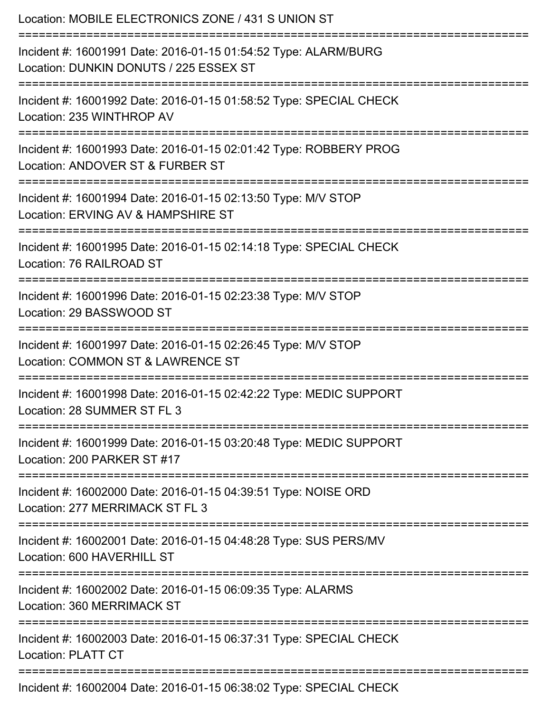| Location: MOBILE ELECTRONICS ZONE / 431 S UNION ST<br>===============================                                               |
|-------------------------------------------------------------------------------------------------------------------------------------|
| Incident #: 16001991 Date: 2016-01-15 01:54:52 Type: ALARM/BURG<br>Location: DUNKIN DONUTS / 225 ESSEX ST                           |
| Incident #: 16001992 Date: 2016-01-15 01:58:52 Type: SPECIAL CHECK<br>Location: 235 WINTHROP AV<br>================================ |
| Incident #: 16001993 Date: 2016-01-15 02:01:42 Type: ROBBERY PROG<br>Location: ANDOVER ST & FURBER ST<br>:======================    |
| Incident #: 16001994 Date: 2016-01-15 02:13:50 Type: M/V STOP<br>Location: ERVING AV & HAMPSHIRE ST                                 |
| Incident #: 16001995 Date: 2016-01-15 02:14:18 Type: SPECIAL CHECK<br>Location: 76 RAILROAD ST                                      |
| Incident #: 16001996 Date: 2016-01-15 02:23:38 Type: M/V STOP<br>Location: 29 BASSWOOD ST                                           |
| Incident #: 16001997 Date: 2016-01-15 02:26:45 Type: M/V STOP<br>Location: COMMON ST & LAWRENCE ST                                  |
| Incident #: 16001998 Date: 2016-01-15 02:42:22 Type: MEDIC SUPPORT<br>Location: 28 SUMMER ST FL 3                                   |
| Incident #: 16001999 Date: 2016-01-15 03:20:48 Type: MEDIC SUPPORT<br>Location: 200 PARKER ST #17                                   |
| Incident #: 16002000 Date: 2016-01-15 04:39:51 Type: NOISE ORD<br>Location: 277 MERRIMACK ST FL 3                                   |
| Incident #: 16002001 Date: 2016-01-15 04:48:28 Type: SUS PERS/MV<br>Location: 600 HAVERHILL ST                                      |
| Incident #: 16002002 Date: 2016-01-15 06:09:35 Type: ALARMS<br><b>Location: 360 MERRIMACK ST</b>                                    |
| Incident #: 16002003 Date: 2016-01-15 06:37:31 Type: SPECIAL CHECK<br><b>Location: PLATT CT</b>                                     |
| Incident #: 16002004 Date: 2016-01-15 06:38:02 Type: SPECIAL CHECK                                                                  |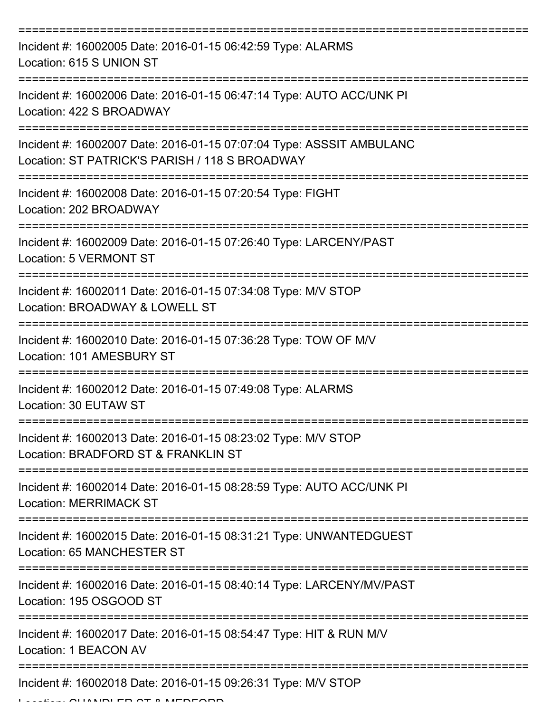| Incident #: 16002005 Date: 2016-01-15 06:42:59 Type: ALARMS<br>Location: 615 S UNION ST                                |
|------------------------------------------------------------------------------------------------------------------------|
| Incident #: 16002006 Date: 2016-01-15 06:47:14 Type: AUTO ACC/UNK PI<br>Location: 422 S BROADWAY                       |
| Incident #: 16002007 Date: 2016-01-15 07:07:04 Type: ASSSIT AMBULANC<br>Location: ST PATRICK'S PARISH / 118 S BROADWAY |
| Incident #: 16002008 Date: 2016-01-15 07:20:54 Type: FIGHT<br>Location: 202 BROADWAY                                   |
| Incident #: 16002009 Date: 2016-01-15 07:26:40 Type: LARCENY/PAST<br>Location: 5 VERMONT ST                            |
| Incident #: 16002011 Date: 2016-01-15 07:34:08 Type: M/V STOP<br>Location: BROADWAY & LOWELL ST                        |
| Incident #: 16002010 Date: 2016-01-15 07:36:28 Type: TOW OF M/V<br>Location: 101 AMESBURY ST                           |
| Incident #: 16002012 Date: 2016-01-15 07:49:08 Type: ALARMS<br>Location: 30 EUTAW ST                                   |
| Incident #: 16002013 Date: 2016-01-15 08:23:02 Type: M/V STOP<br>Location: BRADFORD ST & FRANKLIN ST                   |
| Incident #: 16002014 Date: 2016-01-15 08:28:59 Type: AUTO ACC/UNK PI<br><b>Location: MERRIMACK ST</b>                  |
| Incident #: 16002015 Date: 2016-01-15 08:31:21 Type: UNWANTEDGUEST<br>Location: 65 MANCHESTER ST                       |
| Incident #: 16002016 Date: 2016-01-15 08:40:14 Type: LARCENY/MV/PAST<br>Location: 195 OSGOOD ST                        |
| Incident #: 16002017 Date: 2016-01-15 08:54:47 Type: HIT & RUN M/V<br>Location: 1 BEACON AV                            |
| Incident #: 16002018 Date: 2016-01-15 09:26:31 Type: M/V STOP                                                          |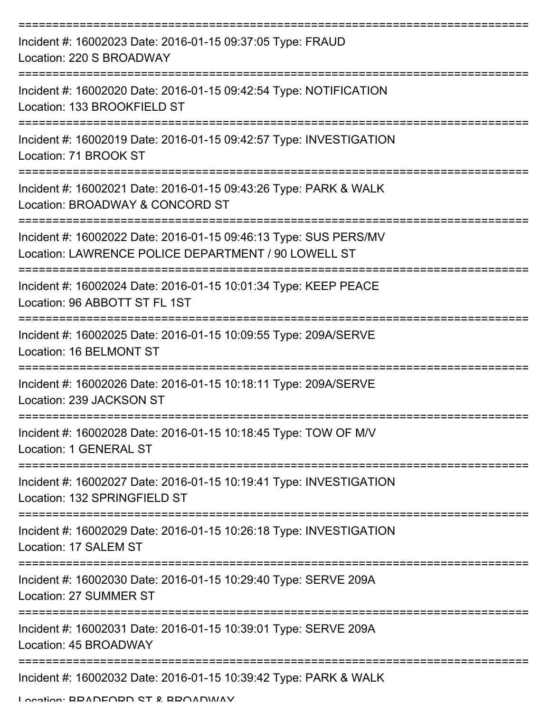| Incident #: 16002023 Date: 2016-01-15 09:37:05 Type: FRAUD<br>Location: 220 S BROADWAY                                                |
|---------------------------------------------------------------------------------------------------------------------------------------|
| Incident #: 16002020 Date: 2016-01-15 09:42:54 Type: NOTIFICATION<br>Location: 133 BROOKFIELD ST                                      |
| Incident #: 16002019 Date: 2016-01-15 09:42:57 Type: INVESTIGATION<br>Location: 71 BROOK ST                                           |
| Incident #: 16002021 Date: 2016-01-15 09:43:26 Type: PARK & WALK<br>Location: BROADWAY & CONCORD ST                                   |
| Incident #: 16002022 Date: 2016-01-15 09:46:13 Type: SUS PERS/MV<br>Location: LAWRENCE POLICE DEPARTMENT / 90 LOWELL ST               |
| Incident #: 16002024 Date: 2016-01-15 10:01:34 Type: KEEP PEACE<br>Location: 96 ABBOTT ST FL 1ST                                      |
| Incident #: 16002025 Date: 2016-01-15 10:09:55 Type: 209A/SERVE<br>Location: 16 BELMONT ST                                            |
| Incident #: 16002026 Date: 2016-01-15 10:18:11 Type: 209A/SERVE<br>Location: 239 JACKSON ST                                           |
| Incident #: 16002028 Date: 2016-01-15 10:18:45 Type: TOW OF M/V<br>Location: 1 GENERAL ST                                             |
| Incident #: 16002027 Date: 2016-01-15 10:19:41 Type: INVESTIGATION<br>Location: 132 SPRINGFIELD ST                                    |
| Incident #: 16002029 Date: 2016-01-15 10:26:18 Type: INVESTIGATION<br>Location: 17 SALEM ST<br>====================================== |
| Incident #: 16002030 Date: 2016-01-15 10:29:40 Type: SERVE 209A<br>Location: 27 SUMMER ST                                             |
| Incident #: 16002031 Date: 2016-01-15 10:39:01 Type: SERVE 209A<br>Location: 45 BROADWAY                                              |
| Incident #: 16002032 Date: 2016-01-15 10:39:42 Type: PARK & WALK                                                                      |

Location: BRADFORD ST & BROADWAY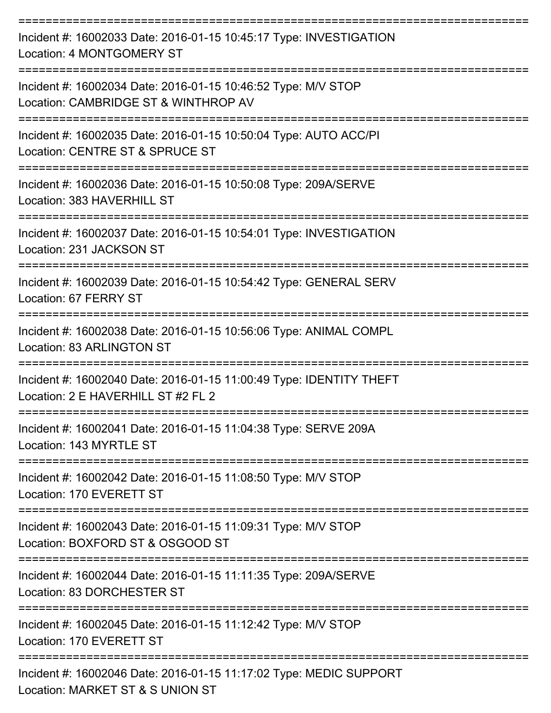| Incident #: 16002033 Date: 2016-01-15 10:45:17 Type: INVESTIGATION<br>Location: 4 MONTGOMERY ST           |
|-----------------------------------------------------------------------------------------------------------|
| Incident #: 16002034 Date: 2016-01-15 10:46:52 Type: M/V STOP<br>Location: CAMBRIDGE ST & WINTHROP AV     |
| Incident #: 16002035 Date: 2016-01-15 10:50:04 Type: AUTO ACC/PI<br>Location: CENTRE ST & SPRUCE ST       |
| Incident #: 16002036 Date: 2016-01-15 10:50:08 Type: 209A/SERVE<br>Location: 383 HAVERHILL ST             |
| Incident #: 16002037 Date: 2016-01-15 10:54:01 Type: INVESTIGATION<br>Location: 231 JACKSON ST            |
| Incident #: 16002039 Date: 2016-01-15 10:54:42 Type: GENERAL SERV<br>Location: 67 FERRY ST                |
| Incident #: 16002038 Date: 2016-01-15 10:56:06 Type: ANIMAL COMPL<br><b>Location: 83 ARLINGTON ST</b>     |
| Incident #: 16002040 Date: 2016-01-15 11:00:49 Type: IDENTITY THEFT<br>Location: 2 E HAVERHILL ST #2 FL 2 |
| Incident #: 16002041 Date: 2016-01-15 11:04:38 Type: SERVE 209A<br>Location: 143 MYRTLE ST                |
| Incident #: 16002042 Date: 2016-01-15 11:08:50 Type: M/V STOP<br>Location: 170 EVERETT ST                 |
| Incident #: 16002043 Date: 2016-01-15 11:09:31 Type: M/V STOP<br>Location: BOXFORD ST & OSGOOD ST         |
| Incident #: 16002044 Date: 2016-01-15 11:11:35 Type: 209A/SERVE<br>Location: 83 DORCHESTER ST             |
| Incident #: 16002045 Date: 2016-01-15 11:12:42 Type: M/V STOP<br>Location: 170 EVERETT ST                 |
| Incident #: 16002046 Date: 2016-01-15 11:17:02 Type: MEDIC SUPPORT<br>Location: MARKET ST & S UNION ST    |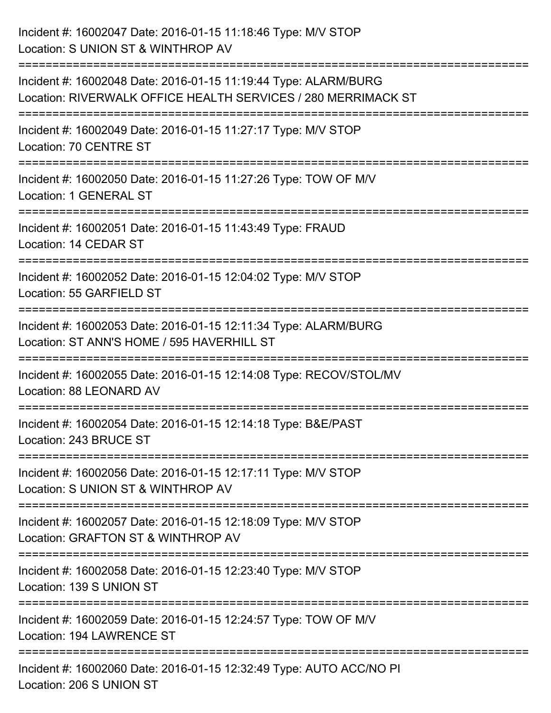| Incident #: 16002047 Date: 2016-01-15 11:18:46 Type: M/V STOP<br>Location: S UNION ST & WINTHROP AV                              |
|----------------------------------------------------------------------------------------------------------------------------------|
| Incident #: 16002048 Date: 2016-01-15 11:19:44 Type: ALARM/BURG<br>Location: RIVERWALK OFFICE HEALTH SERVICES / 280 MERRIMACK ST |
| Incident #: 16002049 Date: 2016-01-15 11:27:17 Type: M/V STOP<br>Location: 70 CENTRE ST                                          |
| Incident #: 16002050 Date: 2016-01-15 11:27:26 Type: TOW OF M/V<br>Location: 1 GENERAL ST                                        |
| Incident #: 16002051 Date: 2016-01-15 11:43:49 Type: FRAUD<br>Location: 14 CEDAR ST                                              |
| Incident #: 16002052 Date: 2016-01-15 12:04:02 Type: M/V STOP<br>Location: 55 GARFIELD ST                                        |
| Incident #: 16002053 Date: 2016-01-15 12:11:34 Type: ALARM/BURG<br>Location: ST ANN'S HOME / 595 HAVERHILL ST                    |
| Incident #: 16002055 Date: 2016-01-15 12:14:08 Type: RECOV/STOL/MV<br>Location: 88 LEONARD AV                                    |
| Incident #: 16002054 Date: 2016-01-15 12:14:18 Type: B&E/PAST<br>Location: 243 BRUCE ST                                          |
| Incident #: 16002056 Date: 2016-01-15 12:17:11 Type: M/V STOP<br>Location: S UNION ST & WINTHROP AV                              |
| Incident #: 16002057 Date: 2016-01-15 12:18:09 Type: M/V STOP<br>Location: GRAFTON ST & WINTHROP AV                              |
| Incident #: 16002058 Date: 2016-01-15 12:23:40 Type: M/V STOP<br>Location: 139 S UNION ST                                        |
| =============<br>Incident #: 16002059 Date: 2016-01-15 12:24:57 Type: TOW OF M/V<br><b>Location: 194 LAWRENCE ST</b>             |
| Incident #: 16002060 Date: 2016-01-15 12:32:49 Type: AUTO ACC/NO PI<br>Location: 206 S UNION ST                                  |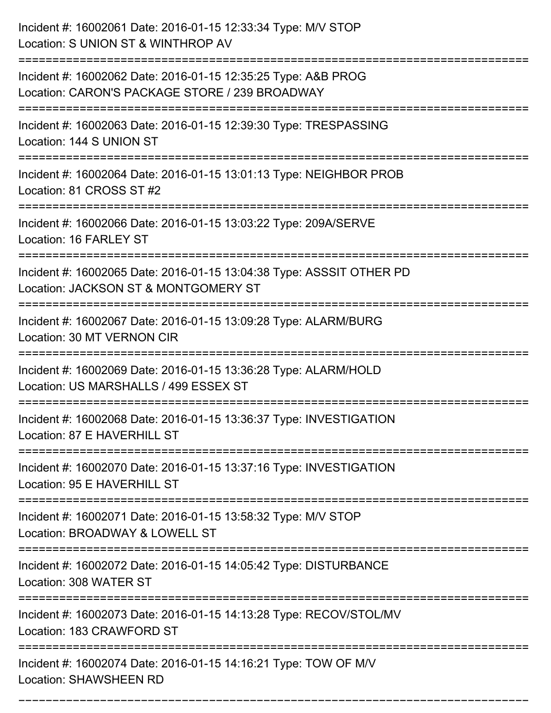| Incident #: 16002061 Date: 2016-01-15 12:33:34 Type: M/V STOP<br>Location: S UNION ST & WINTHROP AV                                       |
|-------------------------------------------------------------------------------------------------------------------------------------------|
| Incident #: 16002062 Date: 2016-01-15 12:35:25 Type: A&B PROG<br>Location: CARON'S PACKAGE STORE / 239 BROADWAY                           |
| Incident #: 16002063 Date: 2016-01-15 12:39:30 Type: TRESPASSING<br>Location: 144 S UNION ST                                              |
| Incident #: 16002064 Date: 2016-01-15 13:01:13 Type: NEIGHBOR PROB<br>Location: 81 CROSS ST #2                                            |
| Incident #: 16002066 Date: 2016-01-15 13:03:22 Type: 209A/SERVE<br>Location: 16 FARLEY ST                                                 |
| Incident #: 16002065 Date: 2016-01-15 13:04:38 Type: ASSSIT OTHER PD<br>Location: JACKSON ST & MONTGOMERY ST                              |
| Incident #: 16002067 Date: 2016-01-15 13:09:28 Type: ALARM/BURG<br>Location: 30 MT VERNON CIR                                             |
| Incident #: 16002069 Date: 2016-01-15 13:36:28 Type: ALARM/HOLD<br>Location: US MARSHALLS / 499 ESSEX ST                                  |
| Incident #: 16002068 Date: 2016-01-15 13:36:37 Type: INVESTIGATION<br>Location: 87 E HAVERHILL ST                                         |
| Incident #: 16002070 Date: 2016-01-15 13:37:16 Type: INVESTIGATION<br>Location: 95 E HAVERHILL ST<br>==================================== |
| Incident #: 16002071 Date: 2016-01-15 13:58:32 Type: M/V STOP<br>Location: BROADWAY & LOWELL ST                                           |
| Incident #: 16002072 Date: 2016-01-15 14:05:42 Type: DISTURBANCE<br>Location: 308 WATER ST                                                |
| Incident #: 16002073 Date: 2016-01-15 14:13:28 Type: RECOV/STOL/MV<br>Location: 183 CRAWFORD ST                                           |
| Incident #: 16002074 Date: 2016-01-15 14:16:21 Type: TOW OF M/V<br><b>Location: SHAWSHEEN RD</b>                                          |

===========================================================================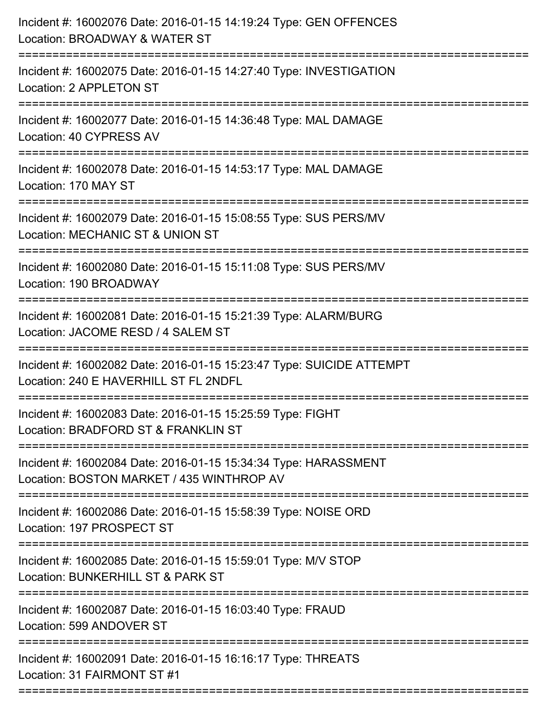| Incident #: 16002076 Date: 2016-01-15 14:19:24 Type: GEN OFFENCES<br>Location: BROADWAY & WATER ST                                             |
|------------------------------------------------------------------------------------------------------------------------------------------------|
| Incident #: 16002075 Date: 2016-01-15 14:27:40 Type: INVESTIGATION<br>Location: 2 APPLETON ST                                                  |
| Incident #: 16002077 Date: 2016-01-15 14:36:48 Type: MAL DAMAGE<br>Location: 40 CYPRESS AV                                                     |
| Incident #: 16002078 Date: 2016-01-15 14:53:17 Type: MAL DAMAGE<br>Location: 170 MAY ST                                                        |
| Incident #: 16002079 Date: 2016-01-15 15:08:55 Type: SUS PERS/MV<br>Location: MECHANIC ST & UNION ST<br>:===================================== |
| Incident #: 16002080 Date: 2016-01-15 15:11:08 Type: SUS PERS/MV<br>Location: 190 BROADWAY                                                     |
| Incident #: 16002081 Date: 2016-01-15 15:21:39 Type: ALARM/BURG<br>Location: JACOME RESD / 4 SALEM ST                                          |
| Incident #: 16002082 Date: 2016-01-15 15:23:47 Type: SUICIDE ATTEMPT<br>Location: 240 E HAVERHILL ST FL 2NDFL                                  |
| Incident #: 16002083 Date: 2016-01-15 15:25:59 Type: FIGHT<br>Location: BRADFORD ST & FRANKLIN ST                                              |
| Incident #: 16002084 Date: 2016-01-15 15:34:34 Type: HARASSMENT<br>Location: BOSTON MARKET / 435 WINTHROP AV                                   |
| Incident #: 16002086 Date: 2016-01-15 15:58:39 Type: NOISE ORD<br>Location: 197 PROSPECT ST                                                    |
| Incident #: 16002085 Date: 2016-01-15 15:59:01 Type: M/V STOP<br>Location: BUNKERHILL ST & PARK ST                                             |
| Incident #: 16002087 Date: 2016-01-15 16:03:40 Type: FRAUD<br>Location: 599 ANDOVER ST                                                         |
| Incident #: 16002091 Date: 2016-01-15 16:16:17 Type: THREATS<br>Location: 31 FAIRMONT ST #1                                                    |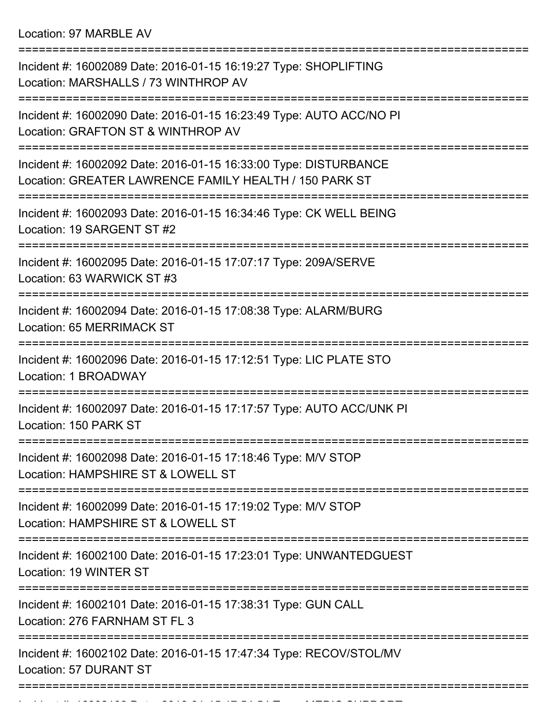Location: 97 MARBLE AV

| Incident #: 16002089 Date: 2016-01-15 16:19:27 Type: SHOPLIFTING<br>Location: MARSHALLS / 73 WINTHROP AV                   |
|----------------------------------------------------------------------------------------------------------------------------|
| Incident #: 16002090 Date: 2016-01-15 16:23:49 Type: AUTO ACC/NO PI<br>Location: GRAFTON ST & WINTHROP AV                  |
| Incident #: 16002092 Date: 2016-01-15 16:33:00 Type: DISTURBANCE<br>Location: GREATER LAWRENCE FAMILY HEALTH / 150 PARK ST |
| Incident #: 16002093 Date: 2016-01-15 16:34:46 Type: CK WELL BEING<br>Location: 19 SARGENT ST #2                           |
| Incident #: 16002095 Date: 2016-01-15 17:07:17 Type: 209A/SERVE<br>Location: 63 WARWICK ST #3                              |
| Incident #: 16002094 Date: 2016-01-15 17:08:38 Type: ALARM/BURG<br>Location: 65 MERRIMACK ST                               |
| Incident #: 16002096 Date: 2016-01-15 17:12:51 Type: LIC PLATE STO<br>Location: 1 BROADWAY                                 |
| Incident #: 16002097 Date: 2016-01-15 17:17:57 Type: AUTO ACC/UNK PI<br>Location: 150 PARK ST                              |
| Incident #: 16002098 Date: 2016-01-15 17:18:46 Type: M/V STOP<br>Location: HAMPSHIRE ST & LOWELL ST                        |
| Incident #: 16002099 Date: 2016-01-15 17:19:02 Type: M/V STOP<br>Location: HAMPSHIRE ST & LOWELL ST                        |
| Incident #: 16002100 Date: 2016-01-15 17:23:01 Type: UNWANTEDGUEST<br>Location: 19 WINTER ST                               |
| Incident #: 16002101 Date: 2016-01-15 17:38:31 Type: GUN CALL<br>Location: 276 FARNHAM ST FL 3                             |
| Incident #: 16002102 Date: 2016-01-15 17:47:34 Type: RECOV/STOL/MV<br>Location: 57 DURANT ST                               |
|                                                                                                                            |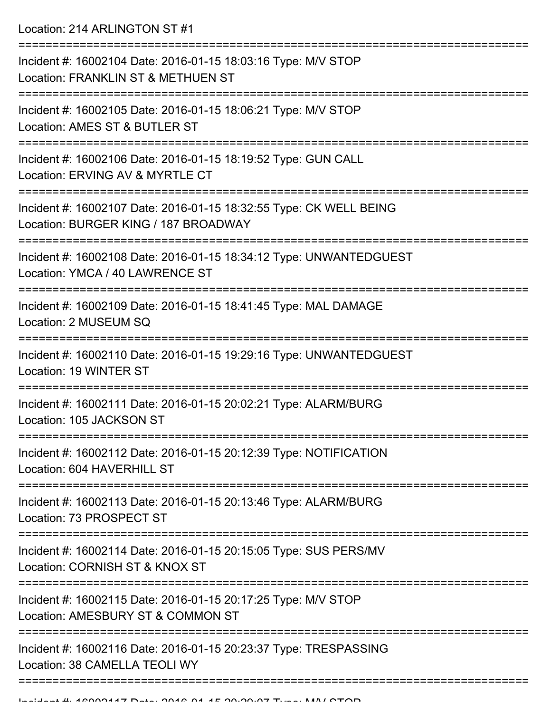Location: 214 ARLINGTON ST #1

| Incident #: 16002104 Date: 2016-01-15 18:03:16 Type: M/V STOP<br>Location: FRANKLIN ST & METHUEN ST        |
|------------------------------------------------------------------------------------------------------------|
| Incident #: 16002105 Date: 2016-01-15 18:06:21 Type: M/V STOP<br>Location: AMES ST & BUTLER ST             |
| Incident #: 16002106 Date: 2016-01-15 18:19:52 Type: GUN CALL<br>Location: ERVING AV & MYRTLE CT           |
| Incident #: 16002107 Date: 2016-01-15 18:32:55 Type: CK WELL BEING<br>Location: BURGER KING / 187 BROADWAY |
| Incident #: 16002108 Date: 2016-01-15 18:34:12 Type: UNWANTEDGUEST<br>Location: YMCA / 40 LAWRENCE ST      |
| Incident #: 16002109 Date: 2016-01-15 18:41:45 Type: MAL DAMAGE<br>Location: 2 MUSEUM SQ                   |
| Incident #: 16002110 Date: 2016-01-15 19:29:16 Type: UNWANTEDGUEST<br>Location: 19 WINTER ST               |
| Incident #: 16002111 Date: 2016-01-15 20:02:21 Type: ALARM/BURG<br>Location: 105 JACKSON ST                |
| Incident #: 16002112 Date: 2016-01-15 20:12:39 Type: NOTIFICATION<br>Location: 604 HAVERHILL ST            |
| Incident #: 16002113 Date: 2016-01-15 20:13:46 Type: ALARM/BURG<br>Location: 73 PROSPECT ST                |
| Incident #: 16002114 Date: 2016-01-15 20:15:05 Type: SUS PERS/MV<br>Location: CORNISH ST & KNOX ST         |
| Incident #: 16002115 Date: 2016-01-15 20:17:25 Type: M/V STOP<br>Location: AMESBURY ST & COMMON ST         |
| Incident #: 16002116 Date: 2016-01-15 20:23:37 Type: TRESPASSING<br>Location: 38 CAMELLA TEOLI WY          |
|                                                                                                            |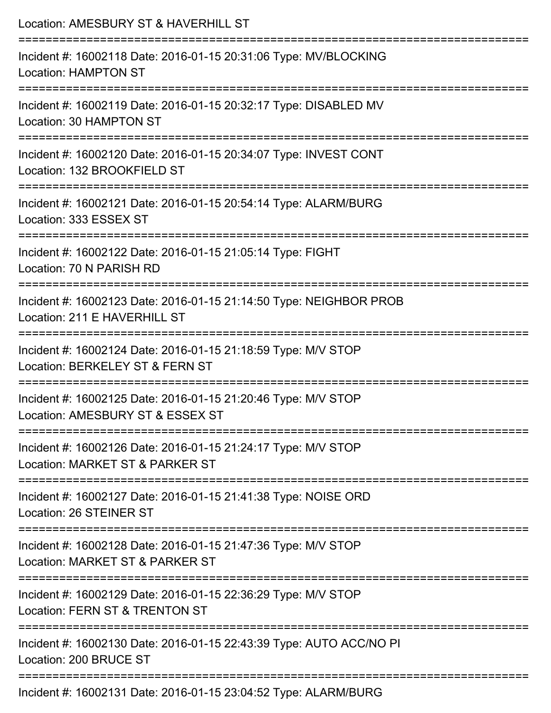| Location: AMESBURY ST & HAVERHILL ST                                                                                     |
|--------------------------------------------------------------------------------------------------------------------------|
| Incident #: 16002118 Date: 2016-01-15 20:31:06 Type: MV/BLOCKING<br><b>Location: HAMPTON ST</b>                          |
| Incident #: 16002119 Date: 2016-01-15 20:32:17 Type: DISABLED MV<br>Location: 30 HAMPTON ST                              |
| Incident #: 16002120 Date: 2016-01-15 20:34:07 Type: INVEST CONT<br>Location: 132 BROOKFIELD ST<br>:==================== |
| Incident #: 16002121 Date: 2016-01-15 20:54:14 Type: ALARM/BURG<br>Location: 333 ESSEX ST                                |
| Incident #: 16002122 Date: 2016-01-15 21:05:14 Type: FIGHT<br>Location: 70 N PARISH RD                                   |
| Incident #: 16002123 Date: 2016-01-15 21:14:50 Type: NEIGHBOR PROB<br>Location: 211 E HAVERHILL ST                       |
| Incident #: 16002124 Date: 2016-01-15 21:18:59 Type: M/V STOP<br>Location: BERKELEY ST & FERN ST                         |
| Incident #: 16002125 Date: 2016-01-15 21:20:46 Type: M/V STOP<br>Location: AMESBURY ST & ESSEX ST                        |
| Incident #: 16002126 Date: 2016-01-15 21:24:17 Type: M/V STOP<br>Location: MARKET ST & PARKER ST                         |
| Incident #: 16002127 Date: 2016-01-15 21:41:38 Type: NOISE ORD<br>Location: 26 STEINER ST                                |
| Incident #: 16002128 Date: 2016-01-15 21:47:36 Type: M/V STOP<br>Location: MARKET ST & PARKER ST                         |
| Incident #: 16002129 Date: 2016-01-15 22:36:29 Type: M/V STOP<br>Location: FERN ST & TRENTON ST                          |
| Incident #: 16002130 Date: 2016-01-15 22:43:39 Type: AUTO ACC/NO PI<br>Location: 200 BRUCE ST                            |
| Incident #: 16002131 Date: 2016-01-15 23:04:52 Type: ALARM/BURG                                                          |